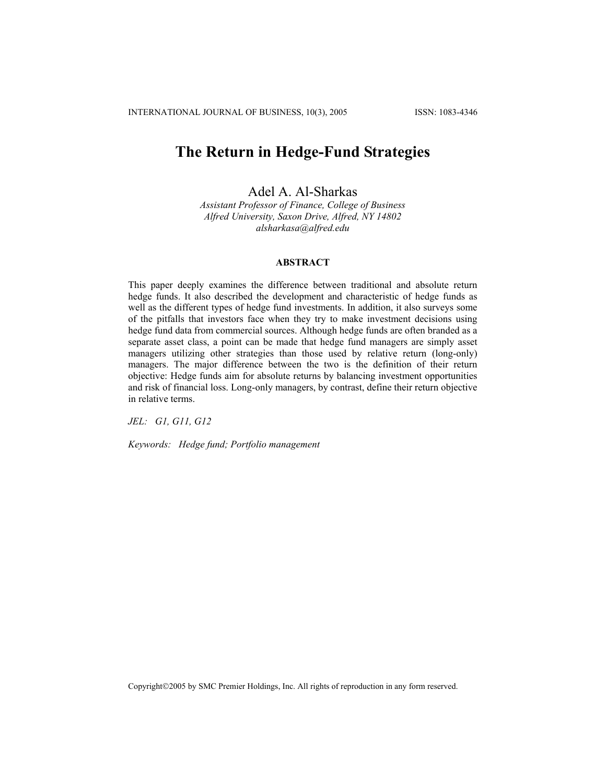# **The Return in Hedge-Fund Strategies**

Adel A. Al-Sharkas

*Assistant Professor of Finance, College of Business Alfred University, Saxon Drive, Alfred, NY 14802 alsharkasa@alfred.edu* 

# **ABSTRACT**

This paper deeply examines the difference between traditional and absolute return hedge funds. It also described the development and characteristic of hedge funds as well as the different types of hedge fund investments. In addition, it also surveys some of the pitfalls that investors face when they try to make investment decisions using hedge fund data from commercial sources. Although hedge funds are often branded as a separate asset class, a point can be made that hedge fund managers are simply asset managers utilizing other strategies than those used by relative return (long-only) managers. The major difference between the two is the definition of their return objective: Hedge funds aim for absolute returns by balancing investment opportunities and risk of financial loss. Long-only managers, by contrast, define their return objective in relative terms.

*JEL: G1, G11, G12* 

*Keywords: Hedge fund; Portfolio management* 

Copyright©2005 by SMC Premier Holdings, Inc. All rights of reproduction in any form reserved.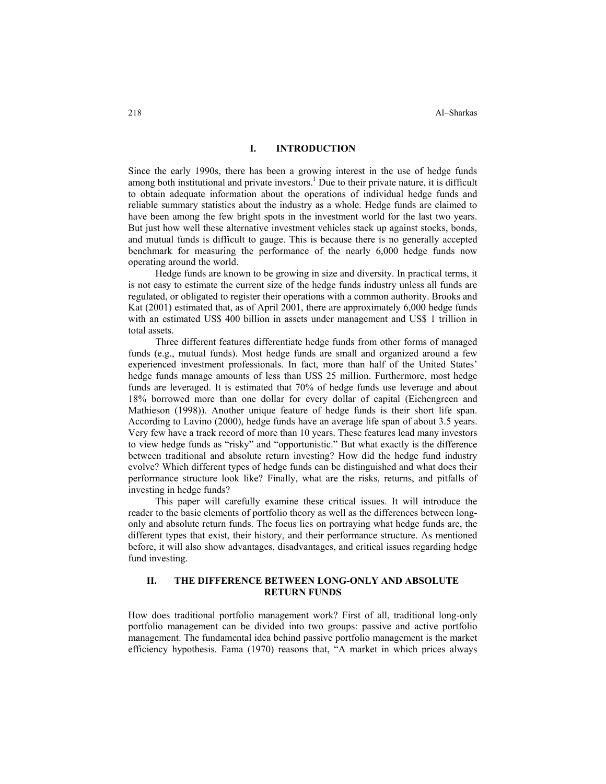## **I. INTRODUCTION**

Since the early 1990s, there has been a growing interest in the use of hedge funds among both institutional and private investors.<sup>1</sup> Due to their private nature, it is difficult to obtain adequate information about the operations of individual hedge funds and reliable summary statistics about the industry as a whole. Hedge funds are claimed to have been among the few bright spots in the investment world for the last two years. But just how well these alternative investment vehicles stack up against stocks, bonds, and mutual funds is difficult to gauge. This is because there is no generally accepted benchmark for measuring the performance of the nearly 6,000 hedge funds now operating around the world.

Hedge funds are known to be growing in size and diversity. In practical terms, it is not easy to estimate the current size of the hedge funds industry unless all funds are regulated, or obligated to register their operations with a common authority. Brooks and Kat (2001) estimated that, as of April 2001, there are approximately 6,000 hedge funds with an estimated US\$ 400 billion in assets under management and US\$ 1 trillion in total assets.

Three different features differentiate hedge funds from other forms of managed funds (e.g., mutual funds). Most hedge funds are small and organized around a few experienced investment professionals. In fact, more than half of the United States' hedge funds manage amounts of less than US\$ 25 million. Furthermore, most hedge funds are leveraged. It is estimated that 70% of hedge funds use leverage and about 18% borrowed more than one dollar for every dollar of capital (Eichengreen and Mathieson (1998)). Another unique feature of hedge funds is their short life span. According to Lavino (2000), hedge funds have an average life span of about 3.5 years. Very few have a track record of more than 10 years. These features lead many investors to view hedge funds as "risky" and "opportunistic." But what exactly is the difference between traditional and absolute return investing? How did the hedge fund industry evolve? Which different types of hedge funds can be distinguished and what does their performance structure look like? Finally, what are the risks, returns, and pitfalls of investing in hedge funds?

This paper will carefully examine these critical issues. It will introduce the reader to the basic elements of portfolio theory as well as the differences between longonly and absolute return funds. The focus lies on portraying what hedge funds are, the different types that exist, their history, and their performance structure. As mentioned before, it will also show advantages, disadvantages, and critical issues regarding hedge fund investing.

## **II. THE DIFFERENCE BETWEEN LONG-ONLY AND ABSOLUTE RETURN FUNDS**

How does traditional portfolio management work? First of all, traditional long-only portfolio management can be divided into two groups: passive and active portfolio management. The fundamental idea behind passive portfolio management is the market efficiency hypothesis. Fama (1970) reasons that, "A market in which prices always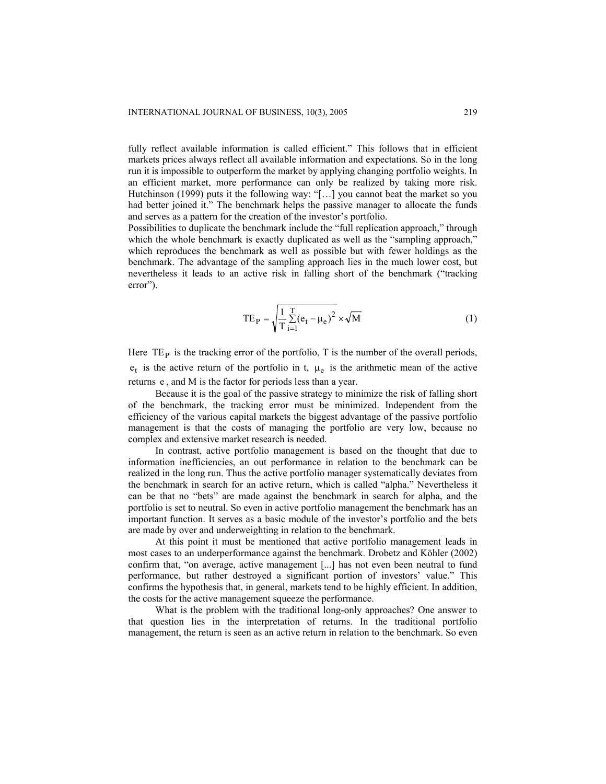fully reflect available information is called efficient." This follows that in efficient markets prices always reflect all available information and expectations. So in the long run it is impossible to outperform the market by applying changing portfolio weights. In an efficient market, more performance can only be realized by taking more risk. Hutchinson (1999) puts it the following way: "[…] you cannot beat the market so you had better joined it." The benchmark helps the passive manager to allocate the funds and serves as a pattern for the creation of the investor's portfolio.

Possibilities to duplicate the benchmark include the "full replication approach," through which the whole benchmark is exactly duplicated as well as the "sampling approach," which reproduces the benchmark as well as possible but with fewer holdings as the benchmark. The advantage of the sampling approach lies in the much lower cost, but nevertheless it leads to an active risk in falling short of the benchmark ("tracking error").

$$
TE_{P} = \sqrt{\frac{1}{T} \sum_{i=1}^{T} (e_t - \mu_e)^2} \times \sqrt{M}
$$
 (1)

Here  $TE<sub>P</sub>$  is the tracking error of the portfolio, T is the number of the overall periods,  $e_t$  is the active return of the portfolio in t,  $\mu_e$  is the arithmetic mean of the active returns e , and M is the factor for periods less than a year.

Because it is the goal of the passive strategy to minimize the risk of falling short of the benchmark, the tracking error must be minimized. Independent from the efficiency of the various capital markets the biggest advantage of the passive portfolio management is that the costs of managing the portfolio are very low, because no complex and extensive market research is needed.

In contrast, active portfolio management is based on the thought that due to information inefficiencies, an out performance in relation to the benchmark can be realized in the long run. Thus the active portfolio manager systematically deviates from the benchmark in search for an active return, which is called "alpha." Nevertheless it can be that no "bets" are made against the benchmark in search for alpha, and the portfolio is set to neutral. So even in active portfolio management the benchmark has an important function. It serves as a basic module of the investor's portfolio and the bets are made by over and underweighting in relation to the benchmark.

At this point it must be mentioned that active portfolio management leads in most cases to an underperformance against the benchmark. Drobetz and Köhler (2002) confirm that, "on average, active management [...] has not even been neutral to fund performance, but rather destroyed a significant portion of investors' value." This confirms the hypothesis that, in general, markets tend to be highly efficient. In addition, the costs for the active management squeeze the performance.

What is the problem with the traditional long-only approaches? One answer to that question lies in the interpretation of returns. In the traditional portfolio management, the return is seen as an active return in relation to the benchmark. So even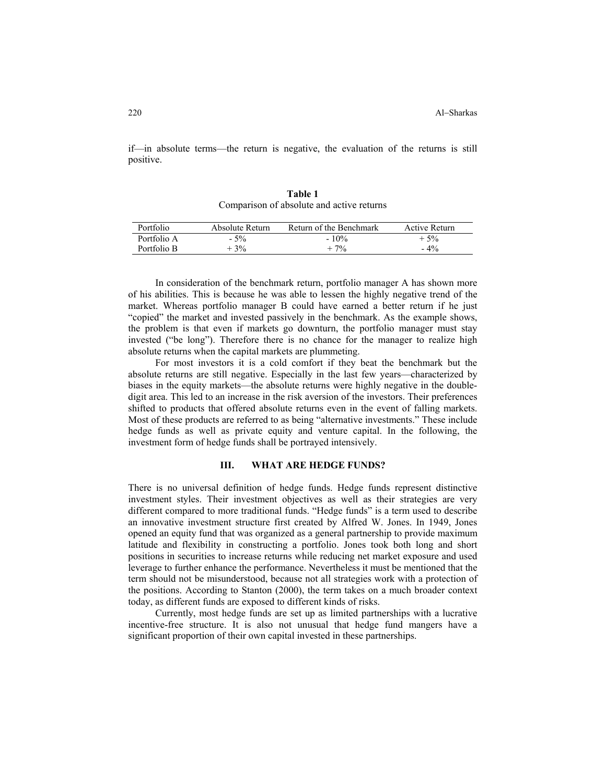if—in absolute terms—the return is negative, the evaluation of the returns is still positive.

| Portfolio   | Absolute Return | Return of the Benchmark | Active Return |
|-------------|-----------------|-------------------------|---------------|
| Portfolio A | $-5\%$          | $-10\%$                 | $+5%$         |
| Portfolio B | $+3\%$          | $+7%$                   | $-4\%$        |

**Table 1**  Comparison of absolute and active returns

In consideration of the benchmark return, portfolio manager A has shown more of his abilities. This is because he was able to lessen the highly negative trend of the market. Whereas portfolio manager B could have earned a better return if he just "copied" the market and invested passively in the benchmark. As the example shows, the problem is that even if markets go downturn, the portfolio manager must stay invested ("be long"). Therefore there is no chance for the manager to realize high absolute returns when the capital markets are plummeting.

For most investors it is a cold comfort if they beat the benchmark but the absolute returns are still negative. Especially in the last few years—characterized by biases in the equity markets—the absolute returns were highly negative in the doubledigit area. This led to an increase in the risk aversion of the investors. Their preferences shifted to products that offered absolute returns even in the event of falling markets. Most of these products are referred to as being "alternative investments." These include hedge funds as well as private equity and venture capital. In the following, the investment form of hedge funds shall be portrayed intensively.

#### **III. WHAT ARE HEDGE FUNDS?**

There is no universal definition of hedge funds. Hedge funds represent distinctive investment styles. Their investment objectives as well as their strategies are very different compared to more traditional funds. "Hedge funds" is a term used to describe an innovative investment structure first created by Alfred W. Jones. In 1949, Jones opened an equity fund that was organized as a general partnership to provide maximum latitude and flexibility in constructing a portfolio. Jones took both long and short positions in securities to increase returns while reducing net market exposure and used leverage to further enhance the performance. Nevertheless it must be mentioned that the term should not be misunderstood, because not all strategies work with a protection of the positions. According to Stanton (2000), the term takes on a much broader context today, as different funds are exposed to different kinds of risks.

Currently, most hedge funds are set up as limited partnerships with a lucrative incentive-free structure. It is also not unusual that hedge fund mangers have a significant proportion of their own capital invested in these partnerships.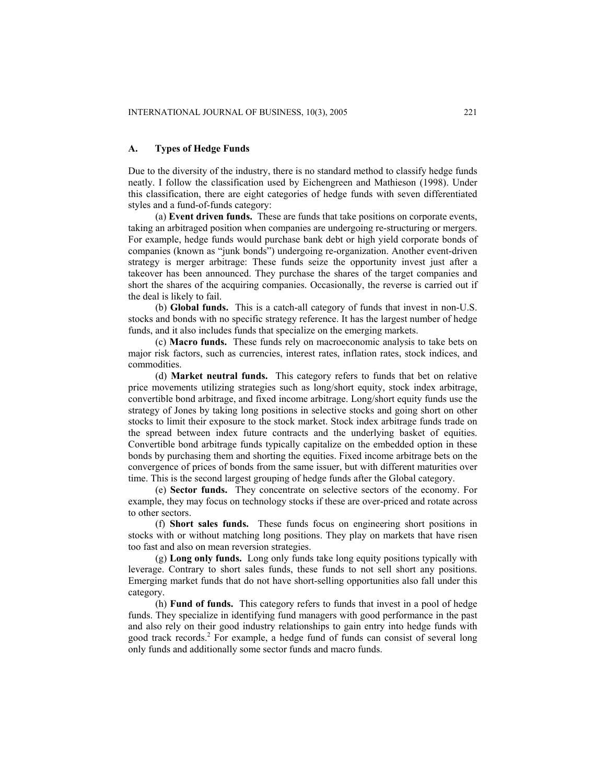## **A. Types of Hedge Funds**

Due to the diversity of the industry, there is no standard method to classify hedge funds neatly. I follow the classification used by Eichengreen and Mathieson (1998). Under this classification, there are eight categories of hedge funds with seven differentiated styles and a fund-of-funds category:

(a) **Event driven funds.** These are funds that take positions on corporate events, taking an arbitraged position when companies are undergoing re-structuring or mergers. For example, hedge funds would purchase bank debt or high yield corporate bonds of companies (known as "junk bonds") undergoing re-organization. Another event-driven strategy is merger arbitrage: These funds seize the opportunity invest just after a takeover has been announced. They purchase the shares of the target companies and short the shares of the acquiring companies. Occasionally, the reverse is carried out if the deal is likely to fail.

(b) **Global funds.** This is a catch-all category of funds that invest in non-U.S. stocks and bonds with no specific strategy reference. It has the largest number of hedge funds, and it also includes funds that specialize on the emerging markets.

(c) **Macro funds.** These funds rely on macroeconomic analysis to take bets on major risk factors, such as currencies, interest rates, inflation rates, stock indices, and commodities.

(d) **Market neutral funds.** This category refers to funds that bet on relative price movements utilizing strategies such as long/short equity, stock index arbitrage, convertible bond arbitrage, and fixed income arbitrage. Long/short equity funds use the strategy of Jones by taking long positions in selective stocks and going short on other stocks to limit their exposure to the stock market. Stock index arbitrage funds trade on the spread between index future contracts and the underlying basket of equities. Convertible bond arbitrage funds typically capitalize on the embedded option in these bonds by purchasing them and shorting the equities. Fixed income arbitrage bets on the convergence of prices of bonds from the same issuer, but with different maturities over time. This is the second largest grouping of hedge funds after the Global category.

(e) **Sector funds.** They concentrate on selective sectors of the economy. For example, they may focus on technology stocks if these are over-priced and rotate across to other sectors.

(f) **Short sales funds.** These funds focus on engineering short positions in stocks with or without matching long positions. They play on markets that have risen too fast and also on mean reversion strategies.

(g) **Long only funds.** Long only funds take long equity positions typically with leverage. Contrary to short sales funds, these funds to not sell short any positions. Emerging market funds that do not have short-selling opportunities also fall under this category.

(h) **Fund of funds.** This category refers to funds that invest in a pool of hedge funds. They specialize in identifying fund managers with good performance in the past and also rely on their good industry relationships to gain entry into hedge funds with good track records.<sup>2</sup> For example, a hedge fund of funds can consist of several long only funds and additionally some sector funds and macro funds.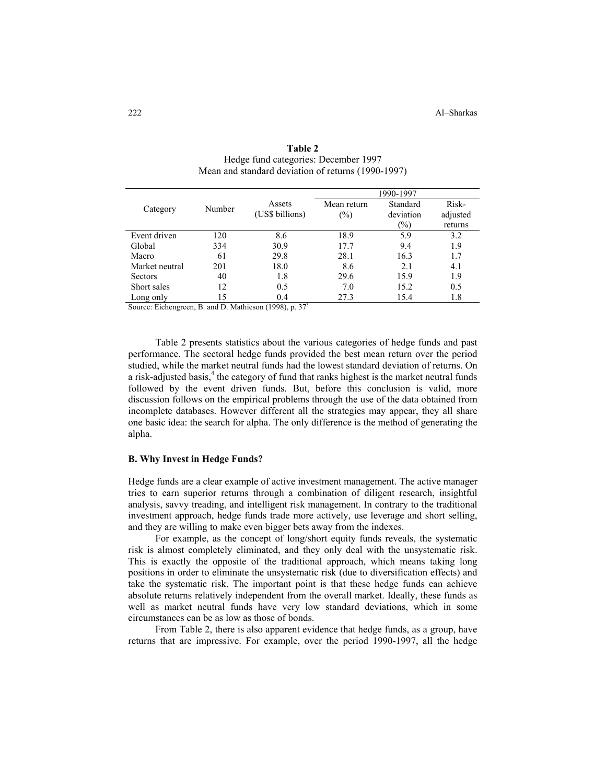|                |        |                           | 1990-1997          |                                        |                              |
|----------------|--------|---------------------------|--------------------|----------------------------------------|------------------------------|
| Category       | Number | Assets<br>(US\$ billions) | Mean return<br>(%) | Standard<br>deviation<br>$\frac{1}{2}$ | Risk-<br>adjusted<br>returns |
| Event driven   | 120    | 8.6                       | 18.9               | 5.9                                    | 3.2                          |
| Global         | 334    | 30.9                      | 17.7               | 9.4                                    | 1.9                          |
| Macro          | 61     | 29.8                      | 28.1               | 16.3                                   | 1.7                          |
| Market neutral | 201    | 18.0                      | 8.6                | 2.1                                    | 4.1                          |
| <b>Sectors</b> | 40     | 1.8                       | 29.6               | 15.9                                   | 1.9                          |
| Short sales    | 12     | 0.5                       | 7.0                | 15.2                                   | 0.5                          |
| Long only      | 15     | 0.4                       | 27.3               | 15.4                                   | 1.8                          |

| Table 2                                            |  |  |  |
|----------------------------------------------------|--|--|--|
| Hedge fund categories: December 1997               |  |  |  |
| Mean and standard deviation of returns (1990-1997) |  |  |  |

Source: Eichengreen, B. and D. Mathieson (1998), p. 37<sup>3</sup>

Table 2 presents statistics about the various categories of hedge funds and past performance. The sectoral hedge funds provided the best mean return over the period studied, while the market neutral funds had the lowest standard deviation of returns. On a risk-adjusted basis, $4$  the category of fund that ranks highest is the market neutral funds followed by the event driven funds. But, before this conclusion is valid, more discussion follows on the empirical problems through the use of the data obtained from incomplete databases. However different all the strategies may appear, they all share one basic idea: the search for alpha. The only difference is the method of generating the alpha.

### **B. Why Invest in Hedge Funds?**

Hedge funds are a clear example of active investment management. The active manager tries to earn superior returns through a combination of diligent research, insightful analysis, savvy treading, and intelligent risk management. In contrary to the traditional investment approach, hedge funds trade more actively, use leverage and short selling, and they are willing to make even bigger bets away from the indexes.

For example, as the concept of long/short equity funds reveals, the systematic risk is almost completely eliminated, and they only deal with the unsystematic risk. This is exactly the opposite of the traditional approach, which means taking long positions in order to eliminate the unsystematic risk (due to diversification effects) and take the systematic risk. The important point is that these hedge funds can achieve absolute returns relatively independent from the overall market. Ideally, these funds as well as market neutral funds have very low standard deviations, which in some circumstances can be as low as those of bonds.

From Table 2, there is also apparent evidence that hedge funds, as a group, have returns that are impressive. For example, over the period 1990-1997, all the hedge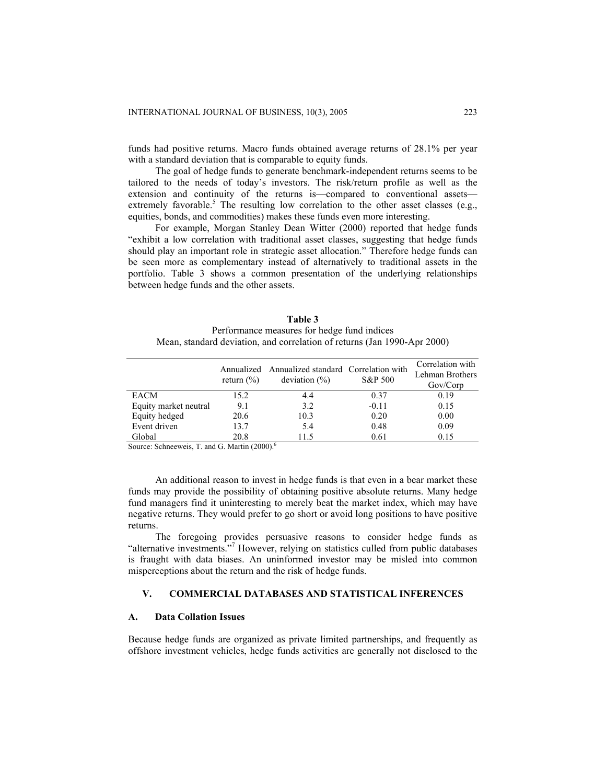funds had positive returns. Macro funds obtained average returns of 28.1% per year with a standard deviation that is comparable to equity funds.

The goal of hedge funds to generate benchmark-independent returns seems to be tailored to the needs of today's investors. The risk/return profile as well as the extension and continuity of the returns is—compared to conventional assets extremely favorable.<sup>5</sup> The resulting low correlation to the other asset classes (e.g., equities, bonds, and commodities) makes these funds even more interesting.

For example, Morgan Stanley Dean Witter (2000) reported that hedge funds "exhibit a low correlation with traditional asset classes, suggesting that hedge funds should play an important role in strategic asset allocation." Therefore hedge funds can be seen more as complementary instead of alternatively to traditional assets in the portfolio. Table 3 shows a common presentation of the underlying relationships between hedge funds and the other assets.

| Table 3                                                                  |  |  |
|--------------------------------------------------------------------------|--|--|
| Performance measures for hedge fund indices                              |  |  |
| Mean, standard deviation, and correlation of returns (Jan 1990-Apr 2000) |  |  |

|                       | return $(\% )$ | Annualized Annualized standard Correlation with<br>deviation $(\% )$ | S&P 500 | Correlation with<br>Lehman Brothers<br>Gov/Corp |
|-----------------------|----------------|----------------------------------------------------------------------|---------|-------------------------------------------------|
| EACM                  | 15.2           | 4.4                                                                  | 0.37    | 0.19                                            |
| Equity market neutral | 9.1            | 3.2                                                                  | $-0.11$ | 0.15                                            |
| Equity hedged         | 20.6           | 10.3                                                                 | 0.20    | 0.00                                            |
| Event driven          | 13.7           | 5.4                                                                  | 0.48    | 0.09                                            |
| Global                | 20.8           | 115                                                                  | 0.61    | 0.15                                            |

Source: Schneeweis, T. and G. Martin (2000).<sup>6</sup>

An additional reason to invest in hedge funds is that even in a bear market these funds may provide the possibility of obtaining positive absolute returns. Many hedge fund managers find it uninteresting to merely beat the market index, which may have negative returns. They would prefer to go short or avoid long positions to have positive returns.

The foregoing provides persuasive reasons to consider hedge funds as "alternative investments."<sup>7</sup> However, relying on statistics culled from public databases is fraught with data biases. An uninformed investor may be misled into common misperceptions about the return and the risk of hedge funds.

# **V. COMMERCIAL DATABASES AND STATISTICAL INFERENCES**

#### **A. Data Collation Issues**

Because hedge funds are organized as private limited partnerships, and frequently as offshore investment vehicles, hedge funds activities are generally not disclosed to the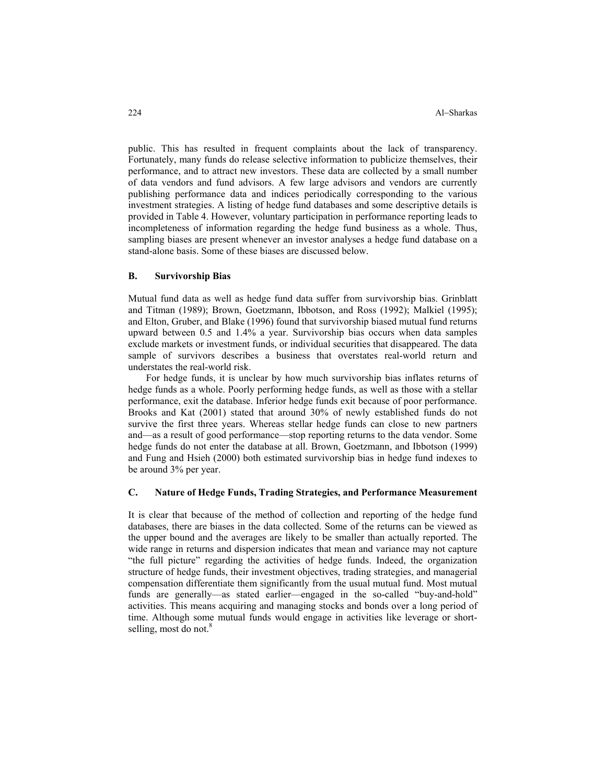public. This has resulted in frequent complaints about the lack of transparency. Fortunately, many funds do release selective information to publicize themselves, their performance, and to attract new investors. These data are collected by a small number of data vendors and fund advisors. A few large advisors and vendors are currently publishing performance data and indices periodically corresponding to the various investment strategies. A listing of hedge fund databases and some descriptive details is provided in Table 4. However, voluntary participation in performance reporting leads to incompleteness of information regarding the hedge fund business as a whole. Thus, sampling biases are present whenever an investor analyses a hedge fund database on a stand-alone basis. Some of these biases are discussed below.

## **B. Survivorship Bias**

Mutual fund data as well as hedge fund data suffer from survivorship bias. Grinblatt and Titman (1989); Brown, Goetzmann, Ibbotson, and Ross (1992); Malkiel (1995); and Elton, Gruber, and Blake (1996) found that survivorship biased mutual fund returns upward between 0.5 and 1.4% a year. Survivorship bias occurs when data samples exclude markets or investment funds, or individual securities that disappeared. The data sample of survivors describes a business that overstates real-world return and understates the real-world risk.

For hedge funds, it is unclear by how much survivorship bias inflates returns of hedge funds as a whole. Poorly performing hedge funds, as well as those with a stellar performance, exit the database. Inferior hedge funds exit because of poor performance. Brooks and Kat (2001) stated that around 30% of newly established funds do not survive the first three years. Whereas stellar hedge funds can close to new partners and—as a result of good performance—stop reporting returns to the data vendor. Some hedge funds do not enter the database at all. Brown, Goetzmann, and Ibbotson (1999) and Fung and Hsieh (2000) both estimated survivorship bias in hedge fund indexes to be around 3% per year.

#### **C. Nature of Hedge Funds, Trading Strategies, and Performance Measurement**

It is clear that because of the method of collection and reporting of the hedge fund databases, there are biases in the data collected. Some of the returns can be viewed as the upper bound and the averages are likely to be smaller than actually reported. The wide range in returns and dispersion indicates that mean and variance may not capture "the full picture" regarding the activities of hedge funds. Indeed, the organization structure of hedge funds, their investment objectives, trading strategies, and managerial compensation differentiate them significantly from the usual mutual fund. Most mutual funds are generally—as stated earlier—engaged in the so-called "buy-and-hold" activities. This means acquiring and managing stocks and bonds over a long period of time. Although some mutual funds would engage in activities like leverage or shortselling, most do not. $8$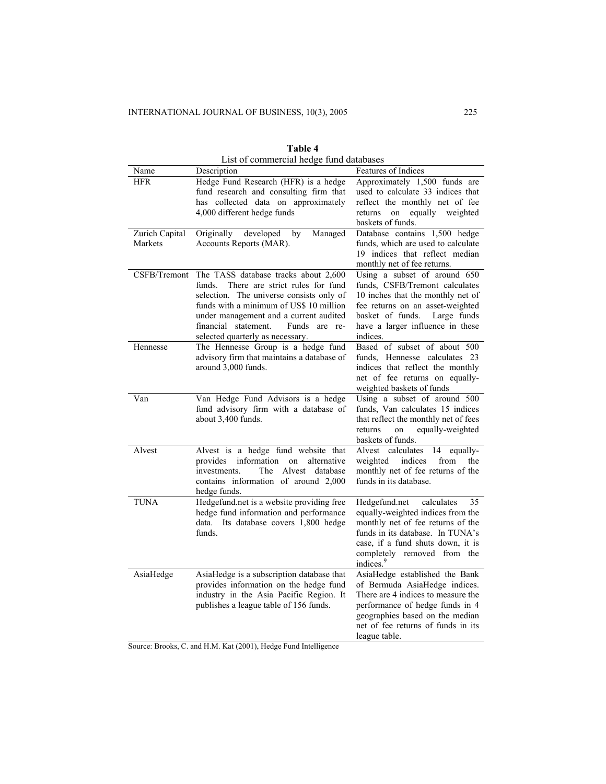| List of commercial hedge fund databases |                                                                                                                                                                                                                                                                                                 |                                                                                                                                                                                                                                              |  |
|-----------------------------------------|-------------------------------------------------------------------------------------------------------------------------------------------------------------------------------------------------------------------------------------------------------------------------------------------------|----------------------------------------------------------------------------------------------------------------------------------------------------------------------------------------------------------------------------------------------|--|
| Name                                    | Description                                                                                                                                                                                                                                                                                     | <b>Features of Indices</b>                                                                                                                                                                                                                   |  |
| <b>HFR</b>                              | Hedge Fund Research (HFR) is a hedge<br>fund research and consulting firm that<br>has collected data on approximately<br>4,000 different hedge funds                                                                                                                                            | Approximately 1,500 funds are<br>used to calculate 33 indices that<br>reflect the monthly net of fee<br>returns<br>equally weighted<br>on<br>baskets of funds.                                                                               |  |
| Zurich Capital<br>Markets               | Originally<br>developed<br>by<br>Managed<br>Accounts Reports (MAR).                                                                                                                                                                                                                             | Database contains 1,500 hedge<br>funds, which are used to calculate<br>19 indices that reflect median<br>monthly net of fee returns.                                                                                                         |  |
| CSFB/Tremont                            | The TASS database tracks about 2,600<br>funds.<br>There are strict rules for fund<br>selection. The universe consists only of<br>funds with a minimum of US\$ 10 million<br>under management and a current audited<br>financial statement.<br>Funds are re-<br>selected quarterly as necessary. | Using a subset of around 650<br>funds, CSFB/Tremont calculates<br>10 inches that the monthly net of<br>fee returns on an asset-weighted<br>basket of funds.<br>Large funds<br>have a larger influence in these<br>indices.                   |  |
| Hennesse                                | The Hennesse Group is a hedge fund<br>advisory firm that maintains a database of<br>around 3,000 funds.                                                                                                                                                                                         | Based of subset of about 500<br>funds, Hennesse calculates 23<br>indices that reflect the monthly<br>net of fee returns on equally-<br>weighted baskets of funds                                                                             |  |
| Van                                     | Van Hedge Fund Advisors is a hedge<br>fund advisory firm with a database of<br>about 3,400 funds.                                                                                                                                                                                               | Using a subset of around 500<br>funds, Van calculates 15 indices<br>that reflect the monthly net of fees<br>returns<br>equally-weighted<br>on<br>baskets of funds.                                                                           |  |
| Alvest                                  | Alvest is a hedge fund website that<br>information<br>provides<br>on<br>alternative<br>Alvest<br>database<br>investments.<br>The<br>contains information of around 2,000<br>hedge funds.                                                                                                        | Alvest calculates<br>equally-<br>14<br>weighted<br>indices<br>from<br>the<br>monthly net of fee returns of the<br>funds in its database.                                                                                                     |  |
| <b>TUNA</b>                             | Hedgefund.net is a website providing free<br>hedge fund information and performance<br>Its database covers 1,800 hedge<br>data.<br>funds.                                                                                                                                                       | Hedgefund.net<br>calculates<br>35<br>equally-weighted indices from the<br>monthly net of fee returns of the<br>funds in its database. In TUNA's<br>case, if a fund shuts down, it is<br>completely removed from the<br>indices. <sup>9</sup> |  |
| AsiaHedge                               | AsiaHedge is a subscription database that<br>provides information on the hedge fund<br>industry in the Asia Pacific Region. It<br>publishes a league table of 156 funds.                                                                                                                        | AsiaHedge established the Bank<br>of Bermuda AsiaHedge indices.<br>There are 4 indices to measure the<br>performance of hedge funds in 4<br>geographies based on the median<br>net of fee returns of funds in its<br>league table.           |  |

**Table 4**

Source: Brooks, C. and H.M. Kat (2001), Hedge Fund Intelligence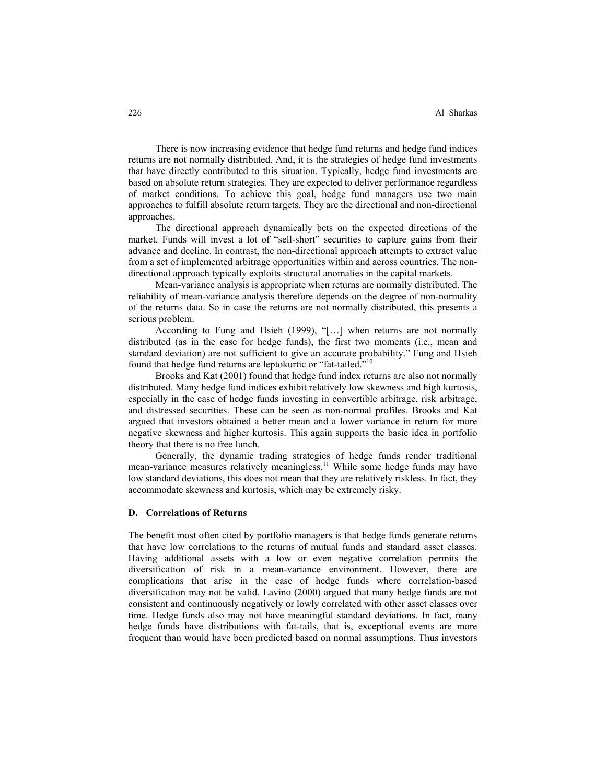There is now increasing evidence that hedge fund returns and hedge fund indices returns are not normally distributed. And, it is the strategies of hedge fund investments that have directly contributed to this situation. Typically, hedge fund investments are based on absolute return strategies. They are expected to deliver performance regardless of market conditions. To achieve this goal, hedge fund managers use two main approaches to fulfill absolute return targets. They are the directional and non-directional approaches.

The directional approach dynamically bets on the expected directions of the market. Funds will invest a lot of "sell-short" securities to capture gains from their advance and decline. In contrast, the non-directional approach attempts to extract value from a set of implemented arbitrage opportunities within and across countries. The nondirectional approach typically exploits structural anomalies in the capital markets.

Mean-variance analysis is appropriate when returns are normally distributed. The reliability of mean-variance analysis therefore depends on the degree of non-normality of the returns data. So in case the returns are not normally distributed, this presents a serious problem.

According to Fung and Hsieh (1999), "[…] when returns are not normally distributed (as in the case for hedge funds), the first two moments (i.e., mean and standard deviation) are not sufficient to give an accurate probability." Fung and Hsieh found that hedge fund returns are leptokurtic or "fat-tailed."<sup>10</sup>

Brooks and Kat (2001) found that hedge fund index returns are also not normally distributed. Many hedge fund indices exhibit relatively low skewness and high kurtosis, especially in the case of hedge funds investing in convertible arbitrage, risk arbitrage, and distressed securities. These can be seen as non-normal profiles. Brooks and Kat argued that investors obtained a better mean and a lower variance in return for more negative skewness and higher kurtosis. This again supports the basic idea in portfolio theory that there is no free lunch.

Generally, the dynamic trading strategies of hedge funds render traditional mean-variance measures relatively meaningless.<sup>11</sup> While some hedge funds may have low standard deviations, this does not mean that they are relatively riskless. In fact, they accommodate skewness and kurtosis, which may be extremely risky.

## **D. Correlations of Returns**

The benefit most often cited by portfolio managers is that hedge funds generate returns that have low correlations to the returns of mutual funds and standard asset classes. Having additional assets with a low or even negative correlation permits the diversification of risk in a mean-variance environment. However, there are complications that arise in the case of hedge funds where correlation-based diversification may not be valid. Lavino (2000) argued that many hedge funds are not consistent and continuously negatively or lowly correlated with other asset classes over time. Hedge funds also may not have meaningful standard deviations. In fact, many hedge funds have distributions with fat-tails, that is, exceptional events are more frequent than would have been predicted based on normal assumptions. Thus investors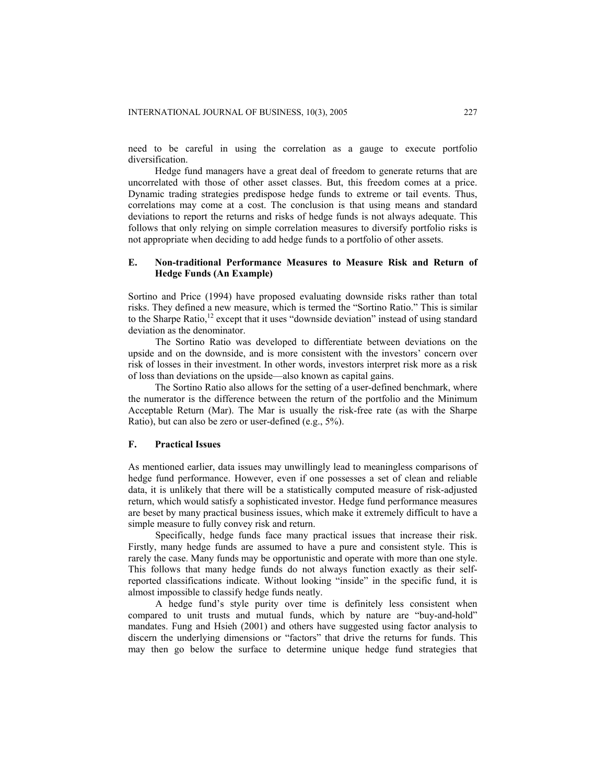need to be careful in using the correlation as a gauge to execute portfolio diversification.

Hedge fund managers have a great deal of freedom to generate returns that are uncorrelated with those of other asset classes. But, this freedom comes at a price. Dynamic trading strategies predispose hedge funds to extreme or tail events. Thus, correlations may come at a cost. The conclusion is that using means and standard deviations to report the returns and risks of hedge funds is not always adequate. This follows that only relying on simple correlation measures to diversify portfolio risks is not appropriate when deciding to add hedge funds to a portfolio of other assets.

## **E. Non-traditional Performance Measures to Measure Risk and Return of Hedge Funds (An Example)**

Sortino and Price (1994) have proposed evaluating downside risks rather than total risks. They defined a new measure, which is termed the "Sortino Ratio." This is similar to the Sharpe Ratio,<sup>12</sup> except that it uses "downside deviation" instead of using standard deviation as the denominator.

The Sortino Ratio was developed to differentiate between deviations on the upside and on the downside, and is more consistent with the investors' concern over risk of losses in their investment. In other words, investors interpret risk more as a risk of loss than deviations on the upside—also known as capital gains.

The Sortino Ratio also allows for the setting of a user-defined benchmark, where the numerator is the difference between the return of the portfolio and the Minimum Acceptable Return (Mar). The Mar is usually the risk-free rate (as with the Sharpe Ratio), but can also be zero or user-defined (e.g., 5%).

### **F. Practical Issues**

As mentioned earlier, data issues may unwillingly lead to meaningless comparisons of hedge fund performance. However, even if one possesses a set of clean and reliable data, it is unlikely that there will be a statistically computed measure of risk-adjusted return, which would satisfy a sophisticated investor. Hedge fund performance measures are beset by many practical business issues, which make it extremely difficult to have a simple measure to fully convey risk and return.

Specifically, hedge funds face many practical issues that increase their risk. Firstly, many hedge funds are assumed to have a pure and consistent style. This is rarely the case. Many funds may be opportunistic and operate with more than one style. This follows that many hedge funds do not always function exactly as their selfreported classifications indicate. Without looking "inside" in the specific fund, it is almost impossible to classify hedge funds neatly.

A hedge fund's style purity over time is definitely less consistent when compared to unit trusts and mutual funds, which by nature are "buy-and-hold" mandates. Fung and Hsieh (2001) and others have suggested using factor analysis to discern the underlying dimensions or "factors" that drive the returns for funds. This may then go below the surface to determine unique hedge fund strategies that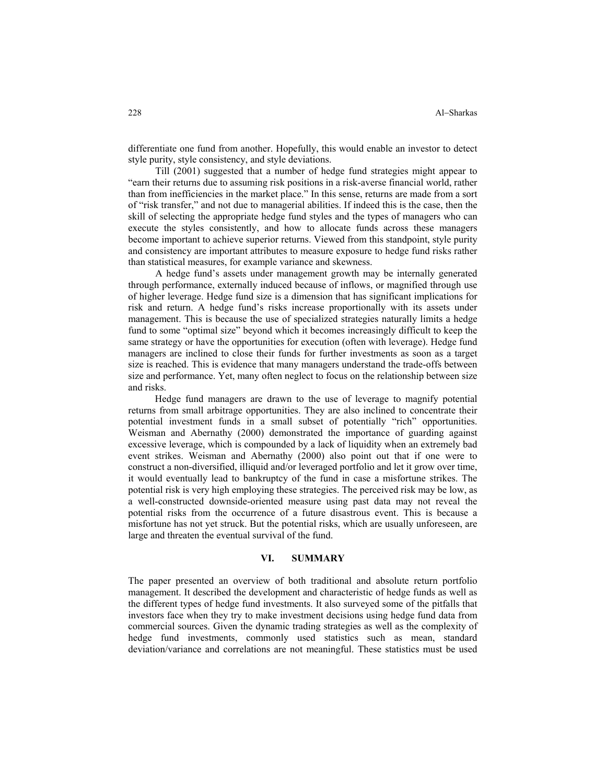differentiate one fund from another. Hopefully, this would enable an investor to detect style purity, style consistency, and style deviations.

Till (2001) suggested that a number of hedge fund strategies might appear to "earn their returns due to assuming risk positions in a risk-averse financial world, rather than from inefficiencies in the market place." In this sense, returns are made from a sort of "risk transfer," and not due to managerial abilities. If indeed this is the case, then the skill of selecting the appropriate hedge fund styles and the types of managers who can execute the styles consistently, and how to allocate funds across these managers become important to achieve superior returns. Viewed from this standpoint, style purity and consistency are important attributes to measure exposure to hedge fund risks rather than statistical measures, for example variance and skewness.

A hedge fund's assets under management growth may be internally generated through performance, externally induced because of inflows, or magnified through use of higher leverage. Hedge fund size is a dimension that has significant implications for risk and return. A hedge fund's risks increase proportionally with its assets under management. This is because the use of specialized strategies naturally limits a hedge fund to some "optimal size" beyond which it becomes increasingly difficult to keep the same strategy or have the opportunities for execution (often with leverage). Hedge fund managers are inclined to close their funds for further investments as soon as a target size is reached. This is evidence that many managers understand the trade-offs between size and performance. Yet, many often neglect to focus on the relationship between size and risks.

Hedge fund managers are drawn to the use of leverage to magnify potential returns from small arbitrage opportunities. They are also inclined to concentrate their potential investment funds in a small subset of potentially "rich" opportunities. Weisman and Abernathy (2000) demonstrated the importance of guarding against excessive leverage, which is compounded by a lack of liquidity when an extremely bad event strikes. Weisman and Abernathy (2000) also point out that if one were to construct a non-diversified, illiquid and/or leveraged portfolio and let it grow over time, it would eventually lead to bankruptcy of the fund in case a misfortune strikes. The potential risk is very high employing these strategies. The perceived risk may be low, as a well-constructed downside-oriented measure using past data may not reveal the potential risks from the occurrence of a future disastrous event. This is because a misfortune has not yet struck. But the potential risks, which are usually unforeseen, are large and threaten the eventual survival of the fund.

## **VI. SUMMARY**

The paper presented an overview of both traditional and absolute return portfolio management. It described the development and characteristic of hedge funds as well as the different types of hedge fund investments. It also surveyed some of the pitfalls that investors face when they try to make investment decisions using hedge fund data from commercial sources. Given the dynamic trading strategies as well as the complexity of hedge fund investments, commonly used statistics such as mean, standard deviation/variance and correlations are not meaningful. These statistics must be used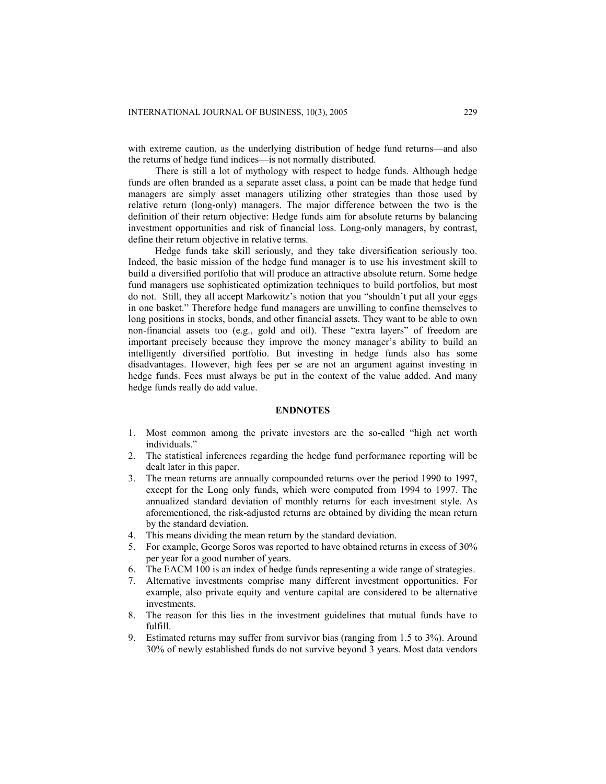with extreme caution, as the underlying distribution of hedge fund returns—and also the returns of hedge fund indices—is not normally distributed.

There is still a lot of mythology with respect to hedge funds. Although hedge funds are often branded as a separate asset class, a point can be made that hedge fund managers are simply asset managers utilizing other strategies than those used by relative return (long-only) managers. The major difference between the two is the definition of their return objective: Hedge funds aim for absolute returns by balancing investment opportunities and risk of financial loss. Long-only managers, by contrast, define their return objective in relative terms.

Hedge funds take skill seriously, and they take diversification seriously too. Indeed, the basic mission of the hedge fund manager is to use his investment skill to build a diversified portfolio that will produce an attractive absolute return. Some hedge fund managers use sophisticated optimization techniques to build portfolios, but most do not. Still, they all accept Markowitz's notion that you "shouldn't put all your eggs in one basket." Therefore hedge fund managers are unwilling to confine themselves to long positions in stocks, bonds, and other financial assets. They want to be able to own non-financial assets too (e.g., gold and oil). These "extra layers" of freedom are important precisely because they improve the money manager's ability to build an intelligently diversified portfolio. But investing in hedge funds also has some disadvantages. However, high fees per se are not an argument against investing in hedge funds. Fees must always be put in the context of the value added. And many hedge funds really do add value.

#### **ENDNOTES**

- 1. Most common among the private investors are the so-called "high net worth individuals."
- 2. The statistical inferences regarding the hedge fund performance reporting will be dealt later in this paper.
- 3. The mean returns are annually compounded returns over the period 1990 to 1997, except for the Long only funds, which were computed from 1994 to 1997. The annualized standard deviation of monthly returns for each investment style. As aforementioned, the risk-adjusted returns are obtained by dividing the mean return by the standard deviation.
- 4. This means dividing the mean return by the standard deviation.
- 5. For example, George Soros was reported to have obtained returns in excess of 30% per year for a good number of years.
- 6. The EACM 100 is an index of hedge funds representing a wide range of strategies.
- 7. Alternative investments comprise many different investment opportunities. For example, also private equity and venture capital are considered to be alternative investments.
- 8. The reason for this lies in the investment guidelines that mutual funds have to fulfill.
- 9. Estimated returns may suffer from survivor bias (ranging from 1.5 to 3%). Around 30% of newly established funds do not survive beyond 3 years. Most data vendors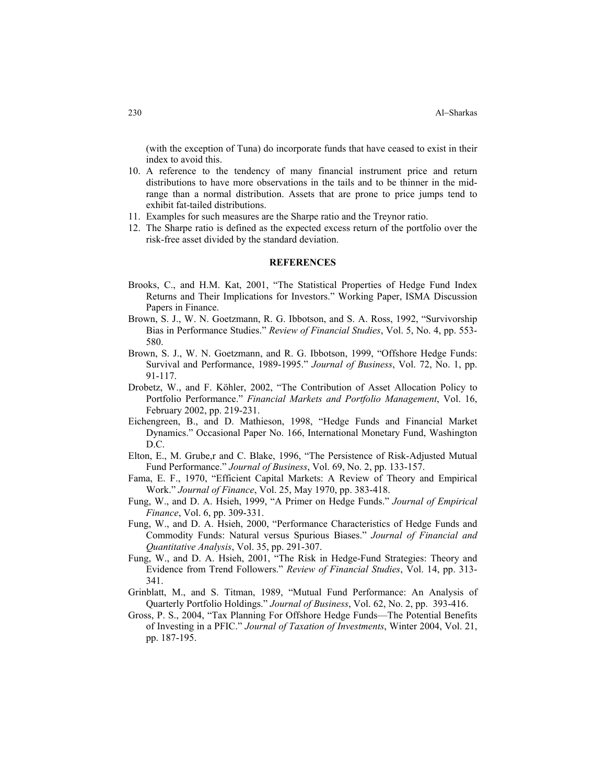(with the exception of Tuna) do incorporate funds that have ceased to exist in their index to avoid this.

- 10. A reference to the tendency of many financial instrument price and return distributions to have more observations in the tails and to be thinner in the midrange than a normal distribution. Assets that are prone to price jumps tend to exhibit fat-tailed distributions.
- 11. Examples for such measures are the Sharpe ratio and the Treynor ratio.
- 12. The Sharpe ratio is defined as the expected excess return of the portfolio over the risk-free asset divided by the standard deviation.

#### **REFERENCES**

- Brooks, C., and H.M. Kat, 2001, "The Statistical Properties of Hedge Fund Index Returns and Their Implications for Investors." Working Paper, ISMA Discussion Papers in Finance.
- Brown, S. J., W. N. Goetzmann, R. G. Ibbotson, and S. A. Ross, 1992, "Survivorship Bias in Performance Studies." *Review of Financial Studies*, Vol. 5, No. 4, pp. 553- 580.
- Brown, S. J., W. N. Goetzmann, and R. G. Ibbotson, 1999, "Offshore Hedge Funds: Survival and Performance, 1989-1995." *Journal of Business*, Vol. 72, No. 1, pp. 91-117.
- Drobetz, W., and F. Köhler, 2002, "The Contribution of Asset Allocation Policy to Portfolio Performance." *Financial Markets and Portfolio Management*, Vol. 16, February 2002, pp. 219-231.
- Eichengreen, B., and D. Mathieson, 1998, "Hedge Funds and Financial Market Dynamics." Occasional Paper No. 166, International Monetary Fund, Washington D.C.
- Elton, E., M. Grube,r and C. Blake, 1996, "The Persistence of Risk-Adjusted Mutual Fund Performance." *Journal of Business*, Vol. 69, No. 2, pp. 133-157.
- Fama, E. F., 1970, "Efficient Capital Markets: A Review of Theory and Empirical Work." *Journal of Finance*, Vol. 25, May 1970, pp. 383-418.
- Fung, W., and D. A. Hsieh, 1999, "A Primer on Hedge Funds." *Journal of Empirical Finance*, Vol. 6, pp. 309-331.
- Fung, W., and D. A. Hsieh, 2000, "Performance Characteristics of Hedge Funds and Commodity Funds: Natural versus Spurious Biases." *Journal of Financial and Quantitative Analysis*, Vol. 35, pp. 291-307.
- Fung, W., and D. A. Hsieh, 2001, "The Risk in Hedge-Fund Strategies: Theory and Evidence from Trend Followers." *Review of Financial Studies*, Vol. 14, pp. 313- 341.
- Grinblatt, M., and S. Titman, 1989, "Mutual Fund Performance: An Analysis of Quarterly Portfolio Holdings." *Journal of Business*, Vol. 62, No. 2, pp. 393-416.
- Gross, P. S., 2004, "Tax Planning For Offshore Hedge Funds—The Potential Benefits of Investing in a PFIC." *Journal of Taxation of Investments*, Winter 2004, Vol. 21, pp. 187-195.